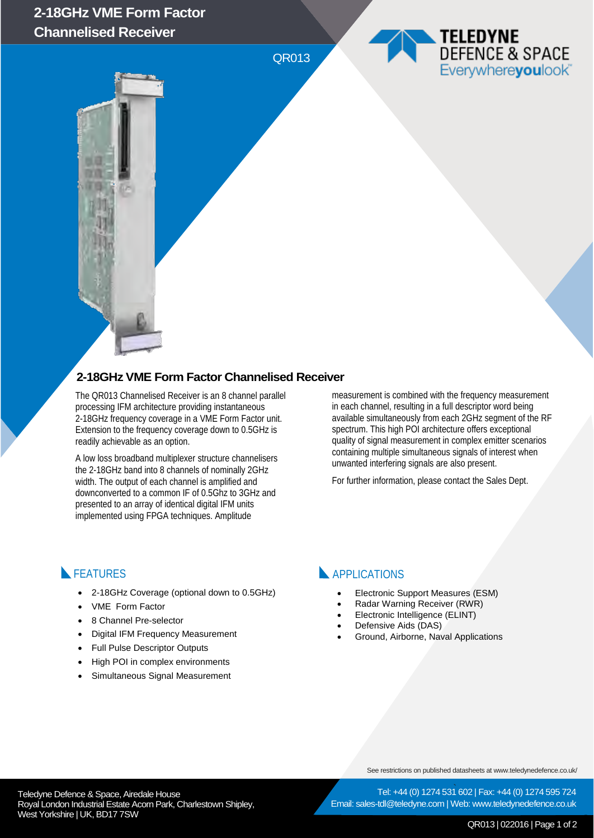## **2-18GHz VME Form Factor Channelised Receiver**

QR013

### **2-18GHz VME Form Factor Channelised Receiver**

The QR013 Channelised Receiver is an 8 channel parallel processing IFM architecture providing instantaneous 2-18GHz frequency coverage in a VME Form Factor unit. Extension to the frequency coverage down to 0.5GHz is readily achievable as an option.

A low loss broadband multiplexer structure channelisers the 2-18GHz band into 8 channels of nominally 2GHz width. The output of each channel is amplified and downconverted to a common IF of 0.5Ghz to 3GHz and presented to an array of identical digital IFM units implemented using FPGA techniques. Amplitude

measurement is combined with the frequency measurement in each channel, resulting in a full descriptor word being available simultaneously from each 2GHz segment of the RF spectrum. This high POI architecture offers exceptional quality of signal measurement in complex emitter scenarios containing multiple simultaneous signals of interest when unwanted interfering signals are also present.

TELEDYNE

**DEFENCE & SPACE** Everywhereyoulook

For further information, please contact the Sales Dept.

#### **FEATURES**

- 2-18GHz Coverage (optional down to 0.5GHz)
- VME Form Factor
- 8 Channel Pre-selector
- Digital IFM Frequency Measurement
- Full Pulse Descriptor Outputs
- High POI in complex environments
- Simultaneous Signal Measurement

#### **APPLICATIONS**

- Electronic Support Measures (ESM)
- Radar Warning Receiver (RWR)
- Electronic Intelligence (ELINT)
- Defensive Aids (DAS)
- Ground, Airborne, Naval Applications

See restrictions on published datasheets at www.teledynedefence.co.uk/

Tel: +44 (0) 1274 531 602 | Fax: +44 (0) 1274 595 724 Email: sales-tdl@teledyne.com | Web: www.teledynedefence.co.uk

Teledyne Defence & Space, Airedale House and the state of the state of the Tel: +44 (0) 1274 531 Royal London Industrial Estate Acorn Park, Charlestown Shipley, West Yorkshire | UK, BD17 7SW

QR013 | 022016 | Page 1 of 2